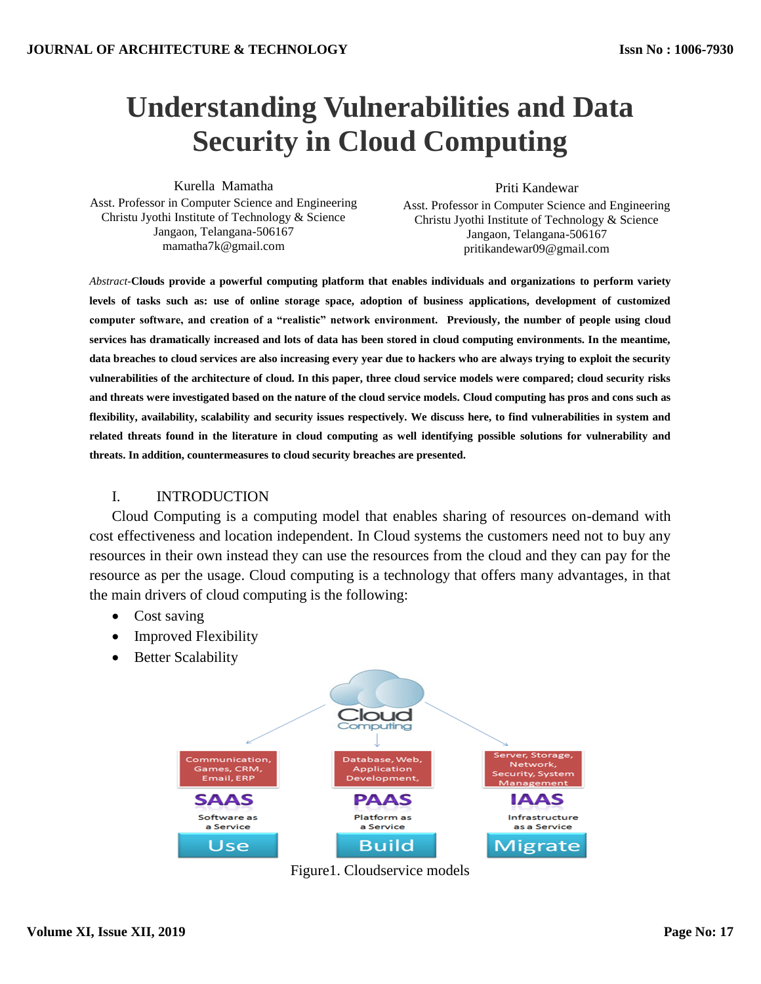# **Understanding Vulnerabilities and Data Security in Cloud Computing**

Kurella Mamatha

Priti Kandewar

Asst. Professor in Computer Science and Engineering Christu Jyothi Institute of Technology & Science Jangaon, Telangana-506167 mamatha7k@gmail.com

Asst. Professor in Computer Science and Engineering Christu Jyothi Institute of Technology & Science Jangaon, Telangana-506167 pritikandewar09@gmail.com

*Abstract-***Clouds provide a powerful computing platform that enables individuals and organizations to perform variety levels of tasks such as: use of online storage space, adoption of business applications, development of customized computer software, and creation of a "realistic" network environment. Previously, the number of people using cloud services has dramatically increased and lots of data has been stored in cloud computing environments. In the meantime, data breaches to cloud services are also increasing every year due to hackers who are always trying to exploit the security vulnerabilities of the architecture of cloud. In this paper, three cloud service models were compared; cloud security risks and threats were investigated based on the nature of the cloud service models. Cloud computing has pros and cons such as flexibility, availability, scalability and security issues respectively. We discuss here, to find vulnerabilities in system and related threats found in the literature in cloud computing as well identifying possible solutions for vulnerability and threats. In addition, countermeasures to cloud security breaches are presented.**

## I. INTRODUCTION

Cloud Computing is a computing model that enables sharing of resources on-demand with cost effectiveness and location independent. In Cloud systems the customers need not to buy any resources in their own instead they can use the resources from the cloud and they can pay for the resource as per the usage. Cloud computing is a technology that offers many advantages, in that the main drivers of cloud computing is the following:

- Cost saving
- Improved Flexibility
- Better Scalability



Figure1. Cloudservice models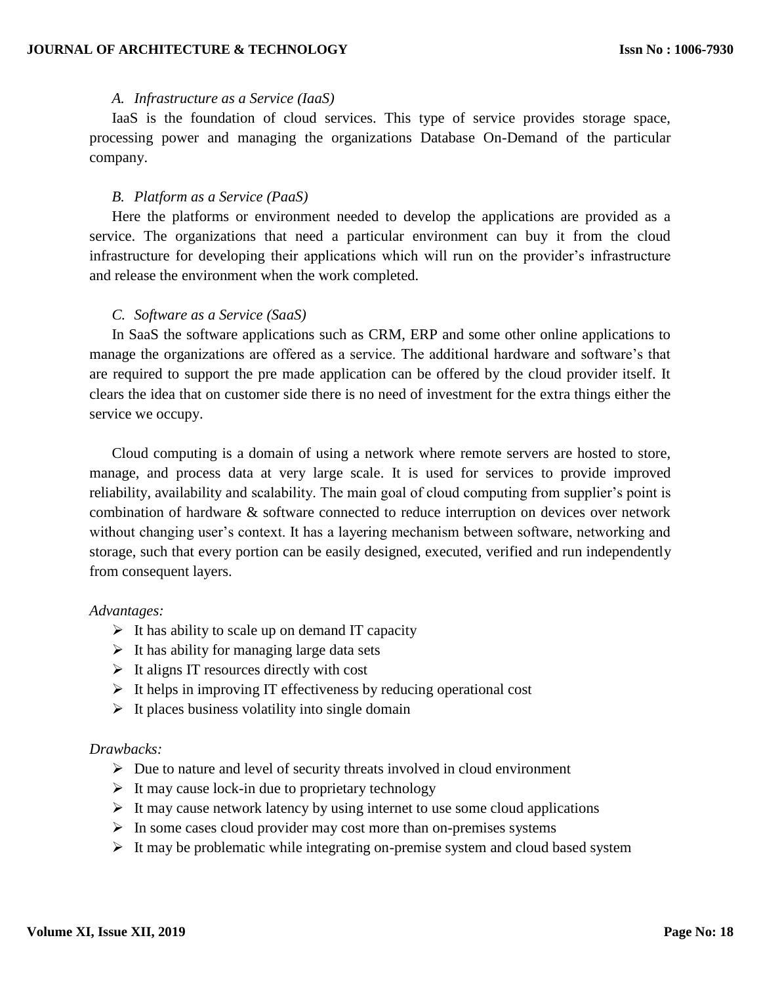#### *A. Infrastructure as a Service (IaaS)*

IaaS is the foundation of cloud services. This type of service provides storage space, processing power and managing the organizations Database On-Demand of the particular company.

#### *B. Platform as a Service (PaaS)*

Here the platforms or environment needed to develop the applications are provided as a service. The organizations that need a particular environment can buy it from the cloud infrastructure for developing their applications which will run on the provider's infrastructure and release the environment when the work completed.

#### *C. Software as a Service (SaaS)*

In SaaS the software applications such as CRM, ERP and some other online applications to manage the organizations are offered as a service. The additional hardware and software's that are required to support the pre made application can be offered by the cloud provider itself. It clears the idea that on customer side there is no need of investment for the extra things either the service we occupy.

Cloud computing is a domain of using a network where remote servers are hosted to store, manage, and process data at very large scale. It is used for services to provide improved reliability, availability and scalability. The main goal of cloud computing from supplier's point is combination of hardware & software connected to reduce interruption on devices over network without changing user's context. It has a layering mechanism between software, networking and storage, such that every portion can be easily designed, executed, verified and run independently from consequent layers.

#### *Advantages:*

- $\triangleright$  It has ability to scale up on demand IT capacity
- $\triangleright$  It has ability for managing large data sets
- $\triangleright$  It aligns IT resources directly with cost
- $\triangleright$  It helps in improving IT effectiveness by reducing operational cost
- $\triangleright$  It places business volatility into single domain

## *Drawbacks:*

- $\triangleright$  Due to nature and level of security threats involved in cloud environment
- $\triangleright$  It may cause lock-in due to proprietary technology
- $\triangleright$  It may cause network latency by using internet to use some cloud applications
- $\triangleright$  In some cases cloud provider may cost more than on-premises systems
- $\triangleright$  It may be problematic while integrating on-premise system and cloud based system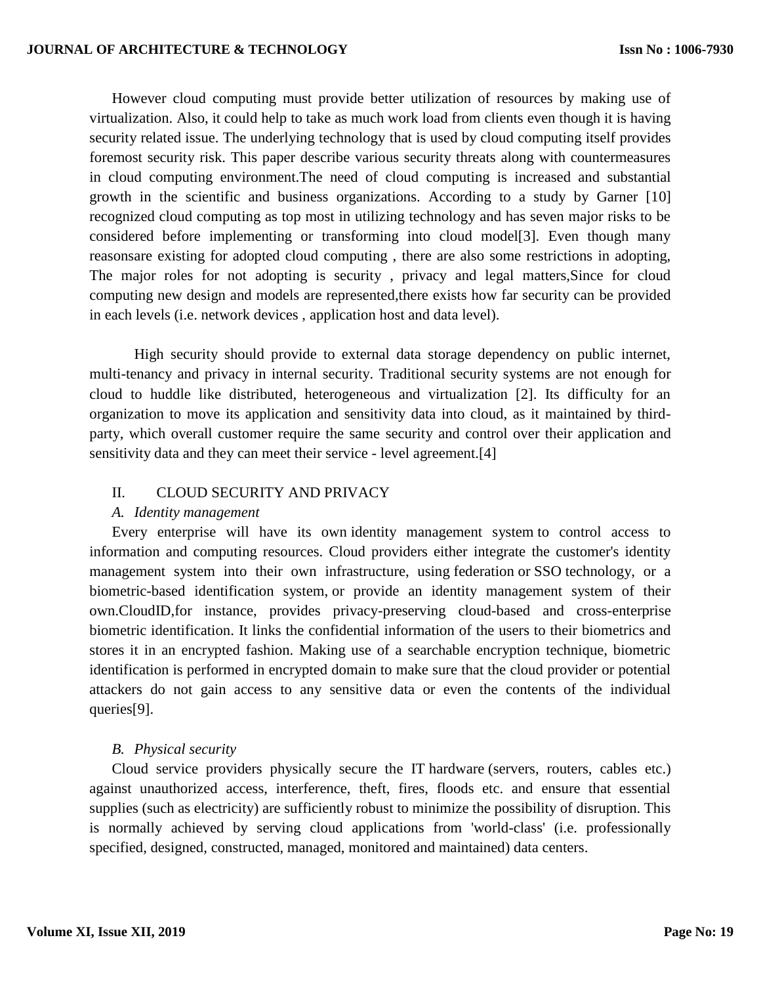However cloud computing must provide better utilization of resources by making use of virtualization. Also, it could help to take as much work load from clients even though it is having security related issue. The underlying technology that is used by cloud computing itself provides foremost security risk. This paper describe various security threats along with countermeasures in cloud computing environment.The need of cloud computing is increased and substantial growth in the scientific and business organizations. According to a study by Garner [10] recognized cloud computing as top most in utilizing technology and has seven major risks to be considered before implementing or transforming into cloud model[3]. Even though many reasonsare existing for adopted cloud computing , there are also some restrictions in adopting, The major roles for not adopting is security , privacy and legal matters,Since for cloud computing new design and models are represented,there exists how far security can be provided in each levels (i.e. network devices , application host and data level).

High security should provide to external data storage dependency on public internet, multi-tenancy and privacy in internal security. Traditional security systems are not enough for cloud to huddle like distributed, heterogeneous and virtualization [2]. Its difficulty for an organization to move its application and sensitivity data into cloud, as it maintained by thirdparty, which overall customer require the same security and control over their application and sensitivity data and they can meet their service - level agreement.<sup>[4]</sup>

## II. CLOUD SECURITY AND PRIVACY

## *A. Identity management*

Every enterprise will have its own [identity management system](https://en.wikipedia.org/wiki/Identity_management_system) to control access to information and computing resources. Cloud providers either integrate the customer's identity management system into their own infrastructure, using [federation](https://en.wikipedia.org/wiki/Federated_identity_management) or [SSO](https://en.wikipedia.org/wiki/Single_sign-on) technology, or a biometric-based identification system, or provide an identity management system of their own.CloudID,for instance, provides privacy-preserving cloud-based and cross-enterprise biometric identification. It links the confidential information of the users to their biometrics and stores it in an encrypted fashion. Making use of a searchable encryption technique, biometric identification is performed in encrypted domain to make sure that the cloud provider or potential attackers do not gain access to any sensitive data or even the contents of the individual queries[9].

#### *B. Physical security*

Cloud service providers physically secure the IT [hardware](https://en.wikipedia.org/wiki/Computer_hardware) (servers, routers, cables etc.) against unauthorized access, interference, theft, fires, floods etc. and ensure that essential supplies (such as electricity) are sufficiently robust to minimize the possibility of disruption. This is normally achieved by serving cloud applications from 'world-class' (i.e. professionally specified, designed, constructed, managed, monitored and maintained) data centers.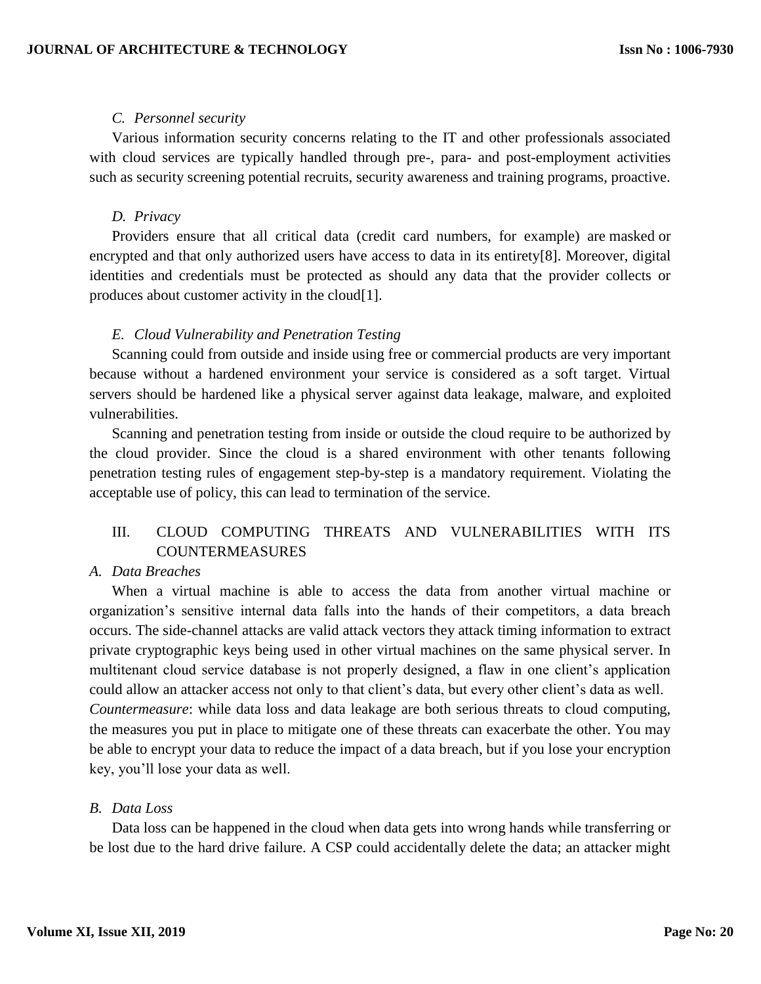## *C. Personnel security*

Various information security concerns relating to the IT and other professionals associated with cloud services are typically handled through pre-, para- and post-employment activities such as security screening potential recruits, security awareness and training programs, proactive.

## *D. Privacy*

Providers ensure that all critical data (credit card numbers, for example) are [masked](https://en.wikipedia.org/wiki/Data_masking) or encrypted and that only authorized users have access to data in its entirety[8]. Moreover, digital identities and credentials must be protected as should any data that the provider collects or produces about customer activity in the cloud[1].

## *E. Cloud Vulnerability and Penetration Testing*

Scanning could from outside and inside using free or commercial products are very important because without a hardened environment your service is considered as a soft target. Virtual servers should be hardened like a physical server against [data leakage,](https://en.wikipedia.org/wiki/Data_leakage_prevention) malware, and exploited vulnerabilities.

Scanning and penetration testing from inside or outside the cloud require to be authorized by the cloud provider. Since the cloud is a shared environment with other tenants following penetration testing rules of engagement step-by-step is a mandatory requirement. Violating the [acceptable use of policy,](https://www.microsoft.com/en-us/msrc/pentest-rules-of-engagement) this can lead to termination of the service.

# III. CLOUD COMPUTING THREATS AND VULNERABILITIES WITH ITS COUNTERMEASURES

## *A. Data Breaches*

When a virtual machine is able to access the data from another virtual machine or organization's sensitive internal data falls into the hands of their competitors, a data breach occurs. The side-channel attacks are valid attack vectors they attack timing information to extract private cryptographic keys being used in other virtual machines on the same physical server. In multitenant cloud service database is not properly designed, a flaw in one client's application could allow an attacker access not only to that client's data, but every other client's data as well. *Countermeasure*: while data loss and data leakage are both serious threats to cloud computing, the measures you put in place to mitigate one of these threats can exacerbate the other. You may be able to encrypt your data to reduce the impact of a data breach, but if you lose your encryption key, you'll lose your data as well.

#### *B. Data Loss*

Data loss can be happened in the cloud when data gets into wrong hands while transferring or be lost due to the hard drive failure. A CSP could accidentally delete the data; an attacker might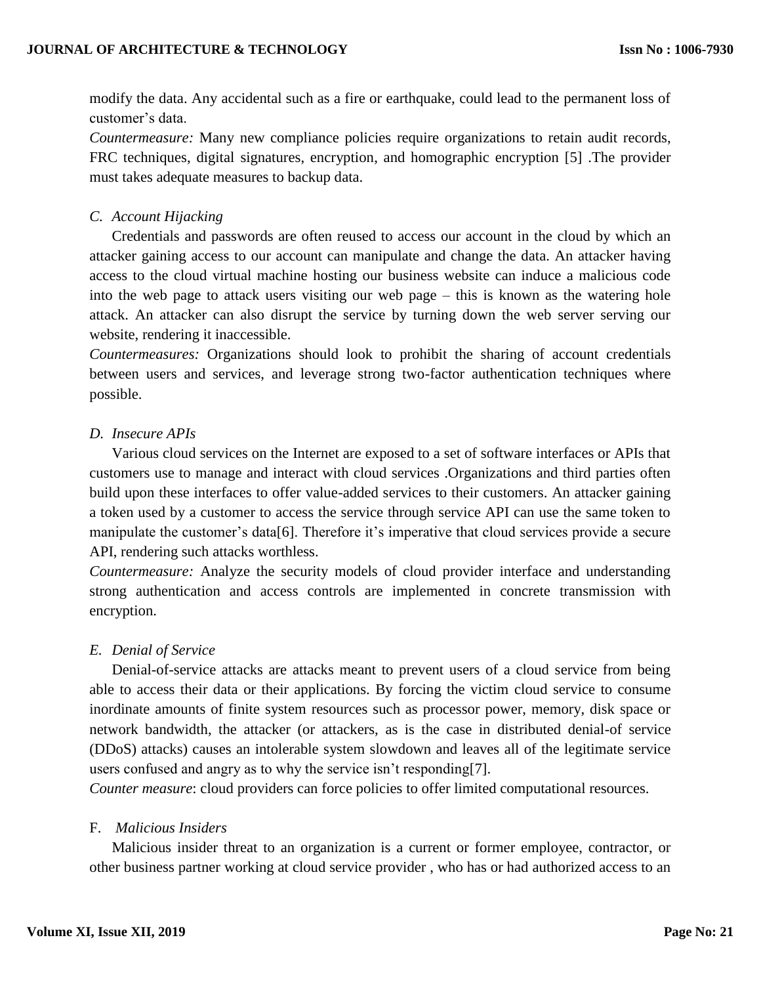modify the data. Any accidental such as a fire or earthquake, could lead to the permanent loss of customer's data.

*Countermeasure:* Many new compliance policies require organizations to retain audit records, FRC techniques, digital signatures, encryption, and homographic encryption [5] .The provider must takes adequate measures to backup data.

## *C. Account Hijacking*

Credentials and passwords are often reused to access our account in the cloud by which an attacker gaining access to our account can manipulate and change the data. An attacker having access to the cloud virtual machine hosting our business website can induce a malicious code into the web page to attack users visiting our web page – this is known as the watering hole attack. An attacker can also disrupt the service by turning down the web server serving our website, rendering it inaccessible.

*Countermeasures:* Organizations should look to prohibit the sharing of account credentials between users and services, and leverage strong two-factor authentication techniques where possible.

## *D. Insecure APIs*

Various cloud services on the Internet are exposed to a set of software interfaces or APIs that customers use to manage and interact with cloud services .Organizations and third parties often build upon these interfaces to offer value-added services to their customers. An attacker gaining a token used by a customer to access the service through service API can use the same token to manipulate the customer's data[6]. Therefore it's imperative that cloud services provide a secure API, rendering such attacks worthless.

*Countermeasure:* Analyze the security models of cloud provider interface and understanding strong authentication and access controls are implemented in concrete transmission with encryption.

## *E. Denial of Service*

Denial-of-service attacks are attacks meant to prevent users of a cloud service from being able to access their data or their applications. By forcing the victim cloud service to consume inordinate amounts of finite system resources such as processor power, memory, disk space or network bandwidth, the attacker (or attackers, as is the case in distributed denial-of service (DDoS) attacks) causes an intolerable system slowdown and leaves all of the legitimate service users confused and angry as to why the service isn't responding[7].

*Counter measure*: cloud providers can force policies to offer limited computational resources.

## F. *Malicious Insiders*

Malicious insider threat to an organization is a current or former employee, contractor, or other business partner working at cloud service provider , who has or had authorized access to an